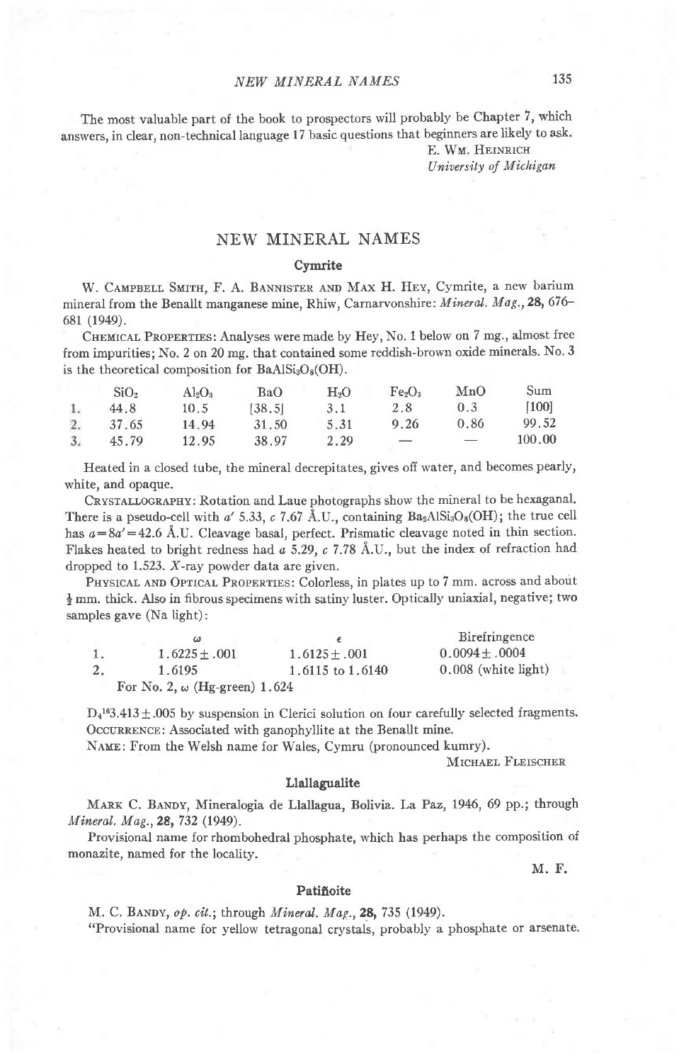## NEW MINERAL NAMES

The most valuable part of the book to prospectors will probably be Chapter 7, which answers, in clear, non-technical language 17 basic questions that beginners are likely to ask.

E. WM. HEINRICH

University of Michigan

# NEW MINERAL NAMES

## Cymrite

W. CAMPBELL SMITH, F. A. BANNISTER AND MAX H. HEY, Cymrite, a new barium mineral from the Benallt manganese mine, Rhiw, Carnarvonshire: *Mineral. Mag.*, 28, 676– 681 (1949).

CHEMICAL PROPERTIES: Analyses were made by Hey, No. 1 below on 7 mg., almost free from impurities; No. 2 on 20 mg. that contained some reddish-brown oxide minerals. No. 3 is the theoretical composition for  $BaAlSi<sub>3</sub>O<sub>8</sub>(OH)$ .

|                | SiO2  | $Al_2O_3$ | BaO    | H <sub>2</sub> O | Fe <sub>2</sub> O <sub>3</sub>  | MnO                      | Sum    |
|----------------|-------|-----------|--------|------------------|---------------------------------|--------------------------|--------|
| 1.             | 44.8  | 10.5      | [38.5] | 3.1              | 2.8                             | 0.3                      | [100]  |
| $\mathbf{2}$ . | 37.65 | 14.94     | 31.50  | 5.31             | 9.26                            | 0.86                     | 99.52  |
| 3.             | 45.79 | 12.95     | 38.97  | 2.29             | $\hspace{0.1mm}-\hspace{0.1mm}$ | $\overline{\phantom{a}}$ | 100.00 |

Heated in a closed tube, the mineral decrepitates, gives ofi water, and becomes pearly, white, and opaque.

CRYSTALLOGRAPHY: Rotation and Laue photographs show the mineral to be hexaganal. There is a pseudo-cell with a' 5.33, c 7.67 Å.U., containing  $Ba<sub>2</sub>AlSi<sub>3</sub>O<sub>8</sub>(OH)$ ; the true cell has  $a=8a'=42.6$  Å.U. Cleavage basal, perfect. Prismatic cleavage noted in thin section. Flakes heated to bright redness had a 5.29,  $c$  7.78 Å.U., but the index of refraction had dropped to 1.523. X-ray powder data are given.

PHYSICAL AND OPTICAL PROPERTIES: Colorless, in plates up to 7 mm. across and about  $\frac{1}{2}$  mm. thick. Also in fibrous specimens with satiny luster. Optically uniaxial, negative; two samples gave (Na light):

|                                      |                  | Birefringence         |  |  |  |
|--------------------------------------|------------------|-----------------------|--|--|--|
| $1.6225 + .001$                      | $1.6125 + .001$  | $0.0094 \pm .0004$    |  |  |  |
| 1.6195                               | 1.6115 to 1.6140 | $0.008$ (white light) |  |  |  |
| For No. 2, $\omega$ (Hg-green) 1.624 |                  |                       |  |  |  |

 $D_4^{16}3.413 \pm .005$  by suspension in Clerici solution on four carefully selected fragments. OCCURRENCE: Associated with ganophyllite at the Benallt mine.

NAME: From the Welsh name for Wales, Cymru (pronounced kumry).

MICHAEL FLEISCHER

#### Llallagualite

Mam C. BeNov, Mineralogia de Llallagua, Bolivia. La Paz, 1946, 69 pp.; through Mineral. Mag., 28, 732 (1949).

Provisional name for rhombohedral phosphate, which has perhaps the composition of monazite, named for the locality.

M. F.

## Patiñoite

M. C. BANDY, op. cit.; through Mineral. Mag., 28, 735 (1949). "Provisional name for yellow tetragonal crystals, probably a phosphate or arsenate.